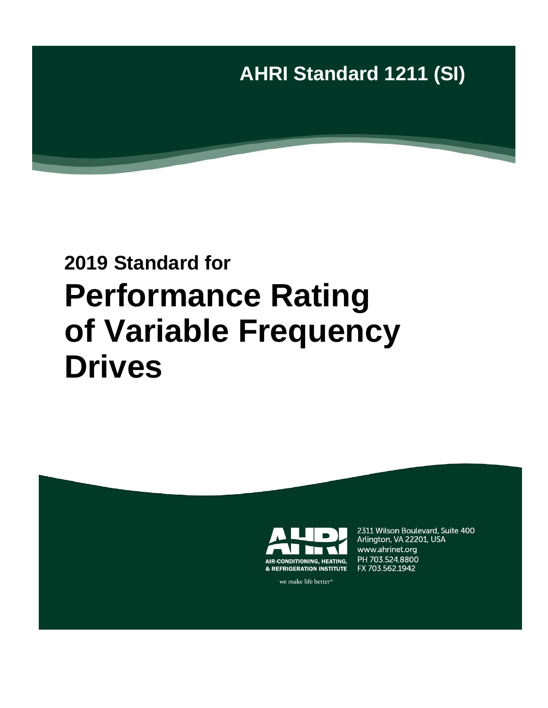

# **2019 Standard for Performance Rating of Variable Frequency Drives**



2311 Wilson Boulevard, Suite 400 Arlington, VA 22201, USA www.ahrinet.org PH 703.524.8800 FX 703.562.1942

we make life better<sup>®</sup>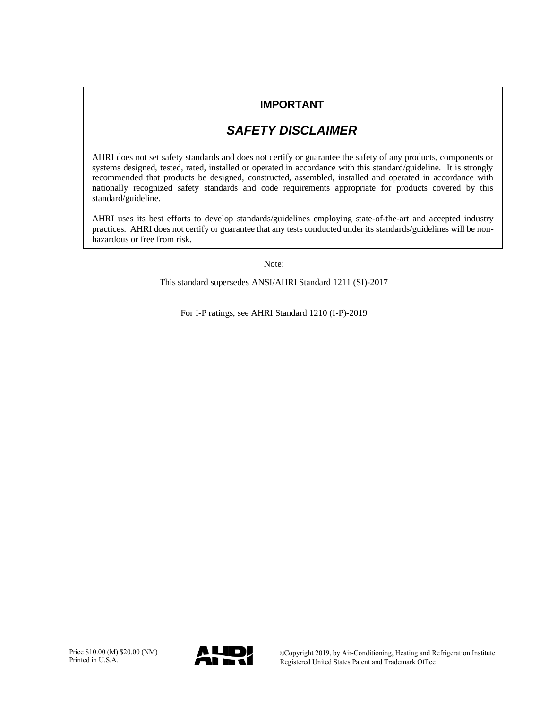# **IMPORTANT**

# *SAFETY DISCLAIMER*

AHRI does not set safety standards and does not certify or guarantee the safety of any products, components or systems designed, tested, rated, installed or operated in accordance with this standard/guideline. It is strongly recommended that products be designed, constructed, assembled, installed and operated in accordance with nationally recognized safety standards and code requirements appropriate for products covered by this standard/guideline.

AHRI uses its best efforts to develop standards/guidelines employing state-of-the-art and accepted industry practices. AHRI does not certify or guarantee that any tests conducted under its standards/guidelines will be nonhazardous or free from risk.

Note:

This standard supersedes ANSI/AHRI Standard 1211 (SI)-2017

For I-P ratings, see AHRI Standard 1210 (I-P)-2019

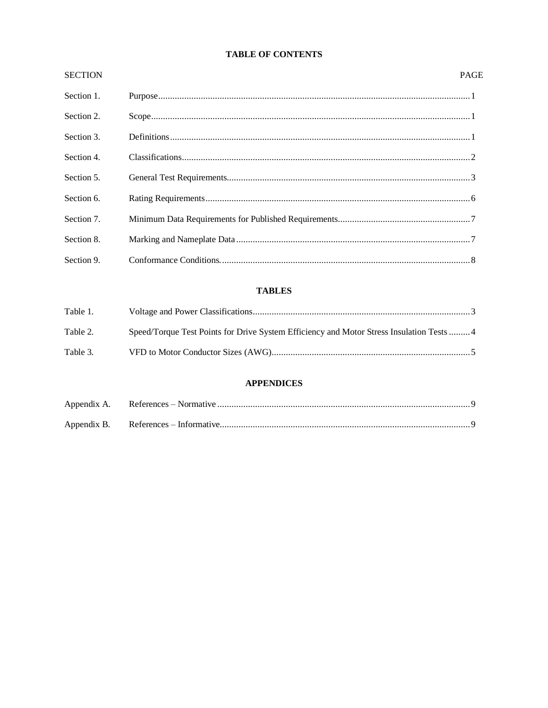# **TABLE OF CONTENTS**

| <b>SECTION</b> | <b>PAGE</b> |
|----------------|-------------|
| Section 1.     |             |
| Section 2.     | Scope 1 1   |
| Section 3.     |             |
| Section 4.     |             |
| Section 5.     |             |
| Section 6.     |             |
| Section 7.     |             |
| Section 8.     |             |
| Section 9.     |             |

# **TABLES**

| Table 1. |                                                                                           |  |
|----------|-------------------------------------------------------------------------------------------|--|
|          |                                                                                           |  |
| Table 2. | Speed/Torque Test Points for Drive System Efficiency and Motor Stress Insulation Tests  4 |  |
|          |                                                                                           |  |
| Table 3. |                                                                                           |  |
|          |                                                                                           |  |

# **APPENDICES**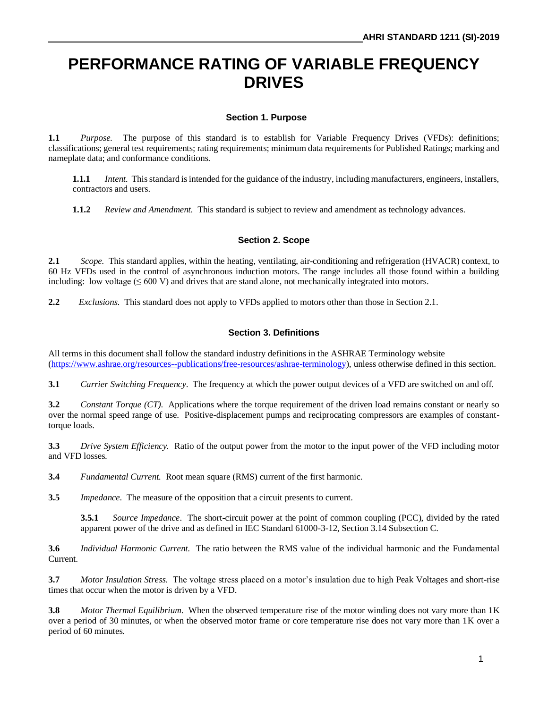# **PERFORMANCE RATING OF VARIABLE FREQUENCY DRIVES**

# **Section 1. Purpose**

**1.1** *Purpose.* The purpose of this standard is to establish for Variable Frequency Drives (VFDs): definitions; classifications; general test requirements; rating requirements; minimum data requirements for Published Ratings; marking and nameplate data; and conformance conditions.

**1.1.1** *Intent.* This standard is intended for the guidance of the industry, including manufacturers, engineers, installers, contractors and users.

**1.1.2** *Review and Amendment.* This standard is subject to review and amendment as technology advances.

#### **Section 2. Scope**

**2.1** *Scope.* This standard applies, within the heating, ventilating, air-conditioning and refrigeration (HVACR) context, to 60 Hz VFDs used in the control of asynchronous induction motors. The range includes all those found within a building including: low voltage  $(600 V)$  and drives that are stand alone, not mechanically integrated into motors.

**2.2** *Exclusions.* This standard does not apply to VFDs applied to motors other than those in Section 2.1.

#### **Section 3. Definitions**

All terms in this document shall follow the standard industry definitions in the ASHRAE Terminology website [\(https://www.ashrae.org/resources--publications/free-resources/ashrae-terminology\)](https://www.ashrae.org/resources--publications/free-resources/ashrae-terminology), unless otherwise defined in this section.

**3.1** *Carrier Switching Frequency*. The frequency at which the power output devices of a VFD are switched on and off.

**3.2** *Constant Torque* (CT). Applications where the torque requirement of the driven load remains constant or nearly so over the normal speed range of use. Positive-displacement pumps and reciprocating compressors are examples of constanttorque loads.

**3.3** *Drive System Efficiency.* Ratio of the output power from the motor to the input power of the VFD including motor and VFD losses.

**3.4** *Fundamental Current.* Root mean square (RMS) current of the first harmonic.

**3.5** *Impedance*. The measure of the opposition that a circuit presents to current.

**3.5.1** *Source Impedance*. The short-circuit power at the point of common coupling (PCC), divided by the rated apparent power of the drive and as defined in IEC Standard 61000-3-12, Section 3.14 Subsection C.

**3.6** *Individual Harmonic Current.* The ratio between the RMS value of the individual harmonic and the Fundamental Current.

**3.7** *Motor Insulation Stress*.The voltage stress placed on a motor's insulation due to high Peak Voltages and short-rise times that occur when the motor is driven by a VFD.

**3.8** *Motor Thermal Equilibrium*. When the observed temperature rise of the motor winding does not vary more than 1K over a period of 30 minutes, or when the observed motor frame or core temperature rise does not vary more than 1K over a period of 60 minutes.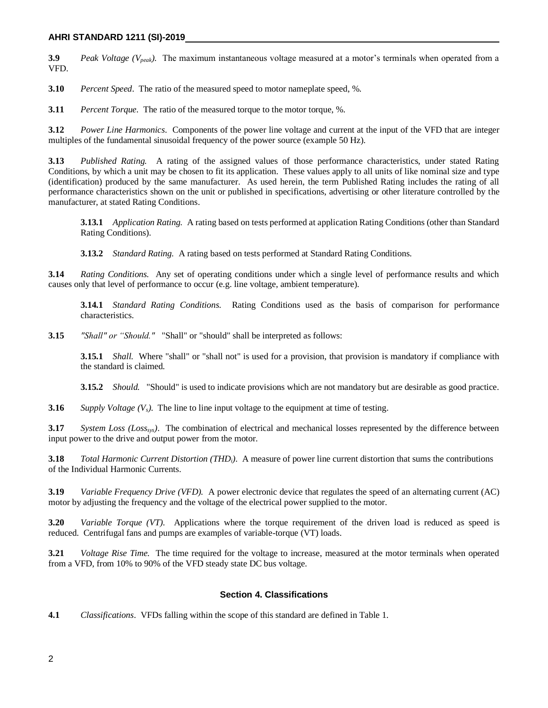#### **AHRI STANDARD 1211 (SI)-2019**

**3.9** *Peak Voltage (Vpeak)*. The maximum instantaneous voltage measured at a motor's terminals when operated from a VFD.

**3.10** *Percent Speed*. The ratio of the measured speed to motor nameplate speed, %.

**3.11** *Percent Torque.* The ratio of the measured torque to the motor torque, %.

**3.12** *Power Line Harmonics*. Components of the power line voltage and current at the input of the VFD that are integer multiples of the fundamental sinusoidal frequency of the power source (example 50 Hz).

**3.13** *Published Rating.* A rating of the assigned values of those performance characteristics, under stated Rating Conditions, by which a unit may be chosen to fit its application. These values apply to all units of like nominal size and type (identification) produced by the same manufacturer. As used herein, the term Published Rating includes the rating of all performance characteristics shown on the unit or published in specifications, advertising or other literature controlled by the manufacturer, at stated Rating Conditions.

**3.13.1** *Application Rating.* A rating based on tests performed at application Rating Conditions (other than Standard Rating Conditions).

**3.13.2** *Standard Rating.* A rating based on tests performed at Standard Rating Conditions.

**3.14** *Rating Conditions.* Any set of operating conditions under which a single level of performance results and which causes only that level of performance to occur (e.g. line voltage, ambient temperature).

**3.14.1** *Standard Rating Conditions.* Rating Conditions used as the basis of comparison for performance characteristics.

**3.15** *"Shall" or "Should."* "Shall" or "should" shall be interpreted as follows:

**3.15.1** *Shall.* Where "shall" or "shall not" is used for a provision, that provision is mandatory if compliance with the standard is claimed.

**3.15.2** *Should.* "Should" is used to indicate provisions which are not mandatory but are desirable as good practice.

**3.16** *Supply Voltage*  $(V_s)$ . The line to line input voltage to the equipment at time of testing.

**3.17** *System Loss (Losssys)*. The combination of electrical and mechanical losses represented by the difference between input power to the drive and output power from the motor.

**3.18** *Total Harmonic Current Distortion (THDi)*. A measure of power line current distortion that sums the contributions of the Individual Harmonic Currents.

**3.19** *Variable Frequency Drive (VFD).* A power electronic device that regulates the speed of an alternating current (AC) motor by adjusting the frequency and the voltage of the electrical power supplied to the motor.

**3.20** *Variable Torque (VT)*. Applications where the torque requirement of the driven load is reduced as speed is reduced. Centrifugal fans and pumps are examples of variable-torque (VT) loads.

**3.21** *Voltage Rise Time.* The time required for the voltage to increase, measured at the motor terminals when operated from a VFD, from 10% to 90% of the VFD steady state DC bus voltage.

#### **Section 4. Classifications**

**4.1** *Classifications*. VFDs falling within the scope of this standard are defined in Table 1.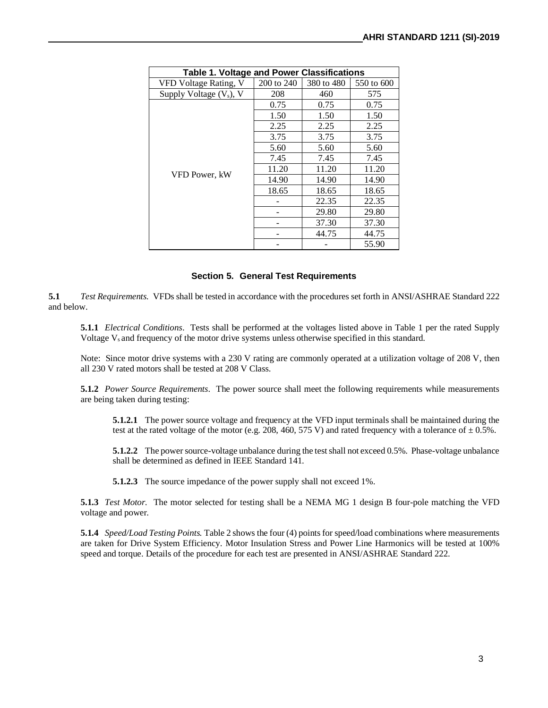| Table 1. Voltage and Power Classifications |            |            |            |  |
|--------------------------------------------|------------|------------|------------|--|
| VFD Voltage Rating, V                      | 200 to 240 | 380 to 480 | 550 to 600 |  |
| Supply Voltage $(V_s)$ , V                 | 208        | 460        | 575        |  |
|                                            | 0.75       | 0.75       | 0.75       |  |
|                                            | 1.50       | 1.50       | 1.50       |  |
|                                            | 2.25       | 2.25       | 2.25       |  |
|                                            | 3.75       | 3.75       | 3.75       |  |
|                                            | 5.60       | 5.60       | 5.60       |  |
|                                            | 7.45       | 7.45       | 7.45       |  |
| VFD Power, kW                              | 11.20      | 11.20      | 11.20      |  |
|                                            | 14.90      | 14.90      | 14.90      |  |
|                                            | 18.65      | 18.65      | 18.65      |  |
|                                            |            | 22.35      | 22.35      |  |
|                                            |            | 29.80      | 29.80      |  |
|                                            |            | 37.30      | 37.30      |  |
|                                            |            | 44.75      | 44.75      |  |
|                                            |            |            | 55.90      |  |

### **Section 5. General Test Requirements**

**5.1** *Test Requirements.* VFDs shall be tested in accordance with the procedures set forth in ANSI/ASHRAE Standard 222 and below.

**5.1.1** *Electrical Conditions*. Tests shall be performed at the voltages listed above in Table 1 per the rated Supply Voltage V<sub>s</sub> and frequency of the motor drive systems unless otherwise specified in this standard.

Note: Since motor drive systems with a 230 V rating are commonly operated at a utilization voltage of 208 V, then all 230 V rated motors shall be tested at 208 V Class.

**5.1.2** *Power Source Requirements*.The power source shall meet the following requirements while measurements are being taken during testing:

**5.1.2.1** The power source voltage and frequency at the VFD input terminals shall be maintained during the test at the rated voltage of the motor (e.g. 208, 460, 575 V) and rated frequency with a tolerance of  $\pm$  0.5%.

**5.1.2.2** The power source-voltage unbalance during the test shall not exceed 0.5%. Phase-voltage unbalance shall be determined as defined in IEEE Standard 141.

**5.1.2.3** The source impedance of the power supply shall not exceed 1%.

**5.1.3** *Test Motor.* The motor selected for testing shall be a NEMA MG 1 design B four-pole matching the VFD voltage and power.

**5.1.4** *Speed/Load Testing Points.* Table 2 shows the four (4) points for speed/load combinations where measurements are taken for Drive System Efficiency. Motor Insulation Stress and Power Line Harmonics will be tested at 100% speed and torque. Details of the procedure for each test are presented in ANSI/ASHRAE Standard 222.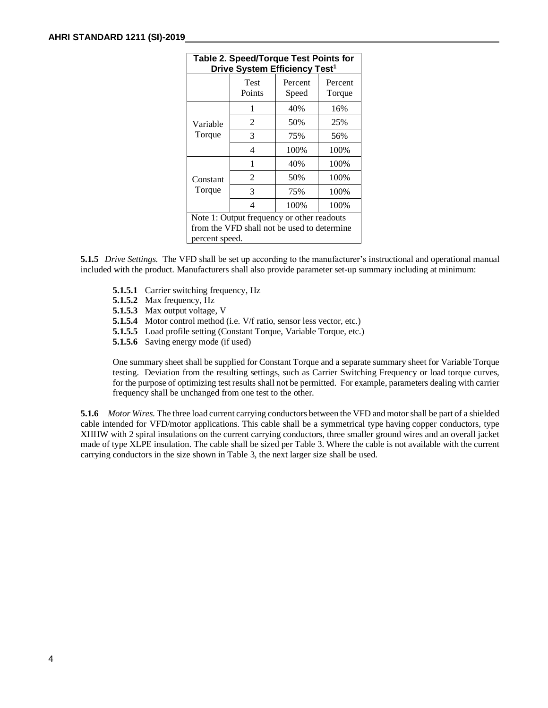| <b>Table 2. Speed/Torque Test Points for</b><br>Drive System Efficiency Test <sup>1</sup> |                       |                  |                   |
|-------------------------------------------------------------------------------------------|-----------------------|------------------|-------------------|
|                                                                                           | <b>Test</b><br>Points | Percent<br>Speed | Percent<br>Torque |
|                                                                                           | 1                     | 40%              | 16%               |
| Variable                                                                                  | 2                     | 50%              | 25%               |
| Torque                                                                                    | 3                     | 75%              | 56%               |
|                                                                                           | 4                     | 100%             | 100%              |
|                                                                                           | 1                     | 40%              | 100%              |
| Constant                                                                                  | 2                     | 50%              | 100%              |
| Torque                                                                                    | 3                     | 75%              | 100%              |
|                                                                                           | 4                     | 100%             | 100%              |
| Note 1: Output frequency or other readouts                                                |                       |                  |                   |
| from the VFD shall not be used to determine                                               |                       |                  |                   |
| percent speed.                                                                            |                       |                  |                   |

**5.1.5** *Drive Settings.* The VFD shall be set up according to the manufacturer's instructional and operational manual included with the product. Manufacturers shall also provide parameter set-up summary including at minimum:

- **5.1.5.1** Carrier switching frequency, Hz
- **5.1.5.2** Max frequency, Hz
- **5.1.5.3** Max output voltage, V
- **5.1.5.4** Motor control method (i.e. V/f ratio, sensor less vector, etc.)
- **5.1.5.5** Load profile setting (Constant Torque, Variable Torque, etc.)
- **5.1.5.6** Saving energy mode (if used)

One summary sheet shall be supplied for Constant Torque and a separate summary sheet for Variable Torque testing. Deviation from the resulting settings, such as Carrier Switching Frequency or load torque curves, for the purpose of optimizing test results shall not be permitted. For example, parameters dealing with carrier frequency shall be unchanged from one test to the other.

**5.1.6** *Motor Wires.* The three load current carrying conductors between the VFD and motor shall be part of a shielded cable intended for VFD/motor applications. This cable shall be a symmetrical type having copper conductors, type XHHW with 2 spiral insulations on the current carrying conductors, three smaller ground wires and an overall jacket made of type XLPE insulation. The cable shall be sized per Table 3. Where the cable is not available with the current carrying conductors in the size shown in Table 3, the next larger size shall be used.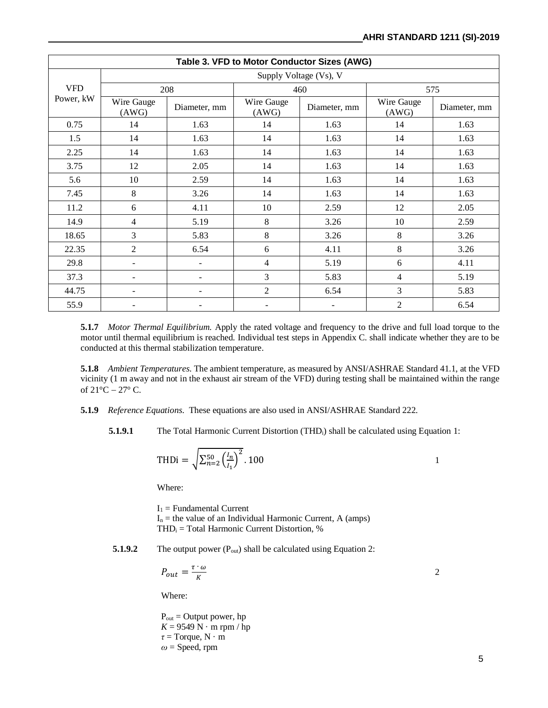| Table 3. VFD to Motor Conductor Sizes (AWG) |                          |              |                     |              |                     |              |
|---------------------------------------------|--------------------------|--------------|---------------------|--------------|---------------------|--------------|
|                                             | Supply Voltage (Vs), V   |              |                     |              |                     |              |
| <b>VFD</b><br>Power, kW                     | 208                      |              | 460                 |              | 575                 |              |
|                                             | Wire Gauge<br>(AWG)      | Diameter, mm | Wire Gauge<br>(AWG) | Diameter, mm | Wire Gauge<br>(AWG) | Diameter, mm |
| 0.75                                        | 14                       | 1.63         | 14                  | 1.63         | 14                  | 1.63         |
| 1.5                                         | 14                       | 1.63         | 14                  | 1.63         | 14                  | 1.63         |
| 2.25                                        | 14                       | 1.63         | 14                  | 1.63         | 14                  | 1.63         |
| 3.75                                        | 12                       | 2.05         | 14                  | 1.63         | 14                  | 1.63         |
| 5.6                                         | 10                       | 2.59         | 14                  | 1.63         | 14                  | 1.63         |
| 7.45                                        | 8                        | 3.26         | 14                  | 1.63         | 14                  | 1.63         |
| 11.2                                        | 6                        | 4.11         | 10                  | 2.59         | 12                  | 2.05         |
| 14.9                                        | 4                        | 5.19         | 8                   | 3.26         | 10                  | 2.59         |
| 18.65                                       | 3                        | 5.83         | 8                   | 3.26         | 8                   | 3.26         |
| 22.35                                       | $\overline{2}$           | 6.54         | 6                   | 4.11         | 8                   | 3.26         |
| 29.8                                        | $\overline{\phantom{a}}$ |              | 4                   | 5.19         | 6                   | 4.11         |
| 37.3                                        |                          |              | $\overline{3}$      | 5.83         | $\overline{4}$      | 5.19         |
| 44.75                                       |                          |              | $\overline{2}$      | 6.54         | 3                   | 5.83         |
| 55.9                                        |                          |              |                     |              | $\overline{2}$      | 6.54         |

**5.1.7** *Motor Thermal Equilibrium.* Apply the rated voltage and frequency to the drive and full load torque to the motor until thermal equilibrium is reached. Individual test steps in Appendix C. shall indicate whether they are to be conducted at this thermal stabilization temperature.

**5.1.8** *Ambient Temperatures*. The ambient temperature, as measured by ANSI/ASHRAE Standard 41.1, at the VFD vicinity (1 m away and not in the exhaust air stream of the VFD) during testing shall be maintained within the range of  $21^{\circ}$ C −  $27^{\circ}$  C.

- **5.1.9** *Reference Equations*. These equations are also used in ANSI/ASHRAE Standard 222.
	- **5.1.9.1** The Total Harmonic Current Distortion (THD<sub>i</sub>) shall be calculated using Equation 1:

$$
\text{THDi} = \sqrt{\sum_{n=2}^{50} \left( \frac{l_n}{l_1} \right)^2} .100 \qquad \qquad 1
$$

Where:

 $I_1$  = Fundamental Current  $I_n$  = the value of an Individual Harmonic Current, A (amps)  $THD<sub>i</sub> = Total Harmonic Current Distortion, %$ 

**5.1.9.2** The output power (P<sub>out</sub>) shall be calculated using Equation 2:

$$
P_{out} = \frac{\tau \cdot \omega}{K}
$$

Where:

 $P_{out} = Output$  power, hp  $K = 9549$  N · m rpm / hp *τ* = Torque, N · m *ω* = Speed, rpm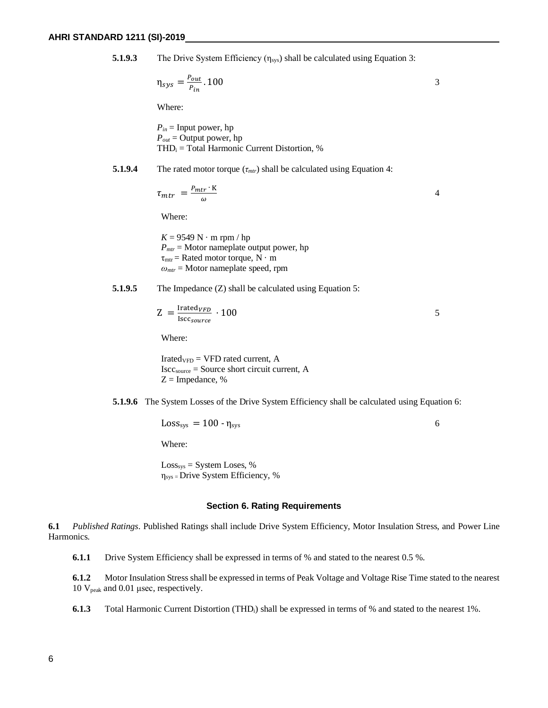**5.1.9.3** The Drive System Efficiency  $(\eta_{sys})$  shall be calculated using Equation 3:

$$
\eta_{sys} = \frac{P_{out}}{P_{in}}.100
$$

Where:

*Pin* = Input power, hp  $P_{out}$  = Output power, hp  $THD<sub>i</sub> = Total Harmonic Current Distortion, %$ 

#### **5.1.9.4** The rated motor torque  $(\tau_{\text{mtr}})$  shall be calculated using Equation 4:

$$
\tau_{mtr} = \frac{P_{mtr} \cdot K}{\omega} \tag{4}
$$

Where:

 $K = 9549$  N · m rpm / hp  $P_{\text{mtr}}$  = Motor nameplate output power, hp  $\tau_{\text{mtr}}$  = Rated motor torque, N  $\cdot$  m *ωmtr* = Motor nameplate speed, rpm

#### **5.1.9.5** The Impedance (Z) shall be calculated using Equation 5:

$$
Z = \frac{\text{Irate}d_{VFD}}{\text{Iscc}_{source}} \cdot 100
$$

Where:

 $Irated<sub>VFD</sub> = VFD$  rated current, A Isccsource = Source short circuit current, A  $Z =$  Impedance, %

**5.1.9.6** The System Losses of the Drive System Efficiency shall be calculated using Equation 6:

 $\text{Loss}_{\text{sys}} = 100 - \eta_{\text{sys}}$  6

Where:

Losssys = System Loses, %  $\eta_{sys}$  = Drive System Efficiency, %

#### **Section 6. Rating Requirements**

**6.1** *Published Ratings*. Published Ratings shall include Drive System Efficiency, Motor Insulation Stress, and Power Line Harmonics.

**6.1.1** Drive System Efficiency shall be expressed in terms of % and stated to the nearest 0.5 %.

**6.1.2** Motor Insulation Stress shall be expressed in terms of Peak Voltage and Voltage Rise Time stated to the nearest 10 Vpeak and 0.01 μsec, respectively.

**6.1.3** Total Harmonic Current Distortion (THD<sub>i</sub>) shall be expressed in terms of % and stated to the nearest 1%.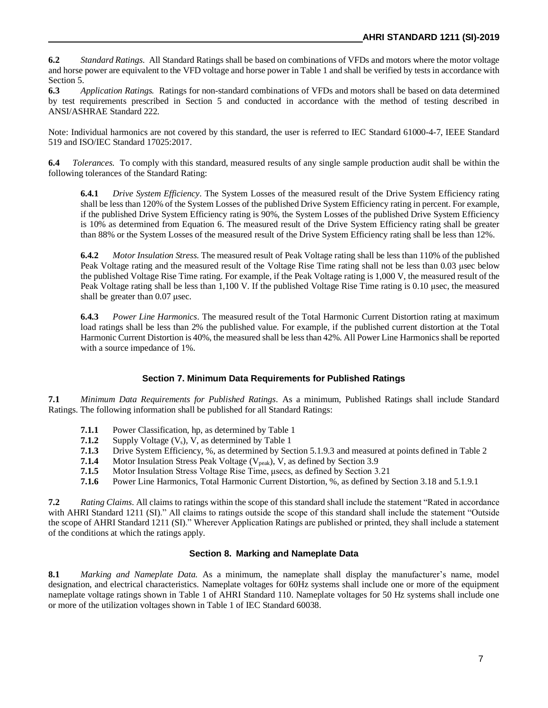**6.2** *Standard Ratings.* All Standard Ratings shall be based on combinations of VFDs and motors where the motor voltage and horse power are equivalent to the VFD voltage and horse power in Table 1 and shall be verified by tests in accordance with Section 5.

**6.3** *Application Ratings.* Ratings for non-standard combinations of VFDs and motors shall be based on data determined by test requirements prescribed in Section 5 and conducted in accordance with the method of testing described in ANSI/ASHRAE Standard 222.

Note: Individual harmonics are not covered by this standard, the user is referred to IEC Standard 61000-4-7, IEEE Standard 519 and ISO/IEC Standard 17025:2017.

**6.4** *Tolerances.* To comply with this standard, measured results of any single sample production audit shall be within the following tolerances of the Standard Rating:

**6.4.1** *Drive System Efficiency*. The System Losses of the measured result of the Drive System Efficiency rating shall be less than 120% of the System Losses of the published Drive System Efficiency rating in percent. For example, if the published Drive System Efficiency rating is 90%, the System Losses of the published Drive System Efficiency is 10% as determined from Equation 6. The measured result of the Drive System Efficiency rating shall be greater than 88% or the System Losses of the measured result of the Drive System Efficiency rating shall be less than 12%.

**6.4.2** *Motor Insulation Stress.* The measured result of Peak Voltage rating shall be less than 110% of the published Peak Voltage rating and the measured result of the Voltage Rise Time rating shall not be less than 0.03 μsec below the published Voltage Rise Time rating. For example, if the Peak Voltage rating is 1,000 V, the measured result of the Peak Voltage rating shall be less than 1,100 V. If the published Voltage Rise Time rating is 0.10 μsec, the measured shall be greater than 0.07 μsec.

**6.4.3** *Power Line Harmonics*. The measured result of the Total Harmonic Current Distortion rating at maximum load ratings shall be less than 2% the published value. For example, if the published current distortion at the Total Harmonic Current Distortion is 40%, the measured shall be less than 42%. All Power Line Harmonics shall be reported with a source impedance of 1%.

# **Section 7. Minimum Data Requirements for Published Ratings**

**7.1** *Minimum Data Requirements for Published Ratings.* As a minimum, Published Ratings shall include Standard Ratings. The following information shall be published for all Standard Ratings:

- **7.1.1** Power Classification, hp, as determined by Table 1
- **7.1.2** Supply Voltage  $(V_s)$ , V, as determined by Table 1
- **7.1.3** Drive System Efficiency, %, as determined by Section 5.1.9.3 and measured at points defined in Table 2
- **7.1.4** Motor Insulation Stress Peak Voltage (V<sub>peak</sub>), V, as defined by Section 3.9<br>**7.1.5** Motor Insulation Stress Voltage Rise Time, usecs, as defined by Section 3.
- **7.1.5** Motor Insulation Stress Voltage Rise Time, μsecs, as defined by Section 3.21
- **7.1.6** Power Line Harmonics, Total Harmonic Current Distortion, %, as defined by Section 3.18 and 5.1.9.1

**7.2** *Rating Claims*. All claims to ratings within the scope of this standard shall include the statement "Rated in accordance with AHRI Standard 1211 (SI)." All claims to ratings outside the scope of this standard shall include the statement "Outside" the scope of AHRI Standard 1211 (SI)." Wherever Application Ratings are published or printed, they shall include a statement of the conditions at which the ratings apply.

# **Section 8. Marking and Nameplate Data**

**8.1** *Marking and Nameplate Data.* As a minimum, the nameplate shall display the manufacturer's name, model designation, and electrical characteristics. Nameplate voltages for 60Hz systems shall include one or more of the equipment nameplate voltage ratings shown in Table 1 of AHRI Standard 110. Nameplate voltages for 50 Hz systems shall include one or more of the utilization voltages shown in Table 1 of IEC Standard 60038.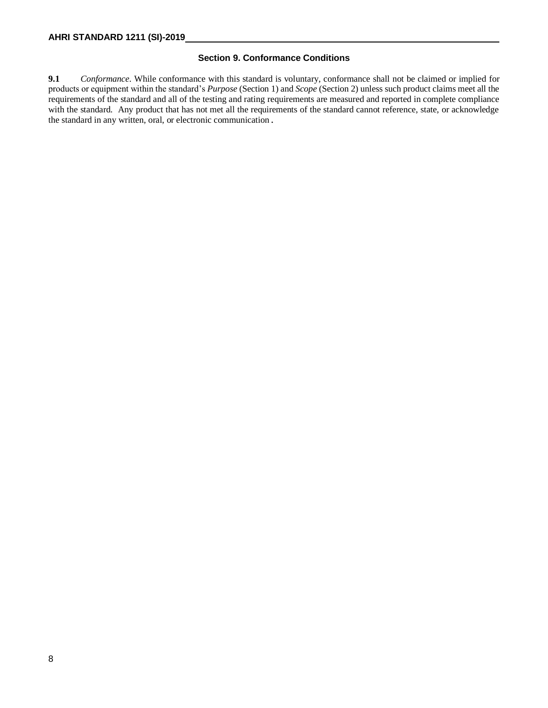## **Section 9. Conformance Conditions**

**9.1** *Conformance*. While conformance with this standard is voluntary, conformance shall not be claimed or implied for products or equipment within the standard's *Purpose* (Section 1) and *Scope* (Section 2) unless such product claims meet all the requirements of the standard and all of the testing and rating requirements are measured and reported in complete compliance with the standard. Any product that has not met all the requirements of the standard cannot reference, state, or acknowledge the standard in any written, oral, or electronic communication.